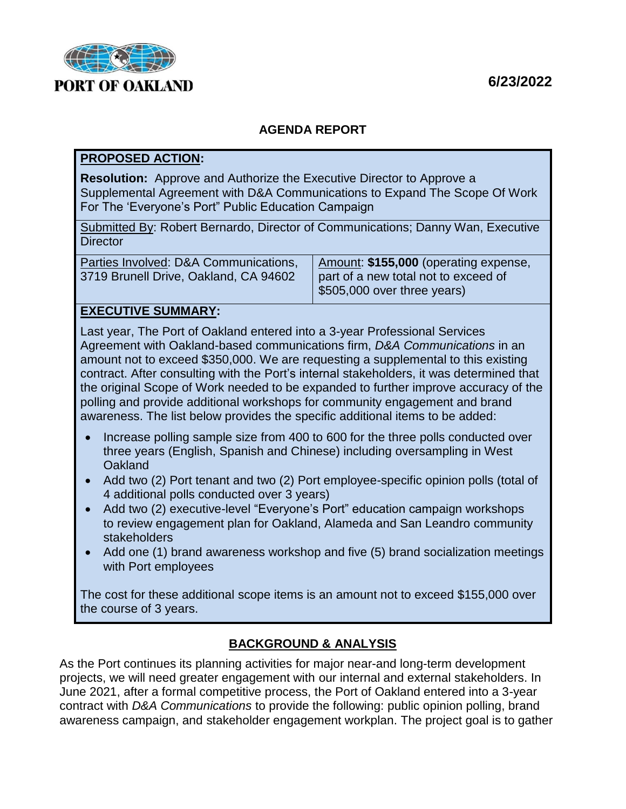**6/23/2022**



# **AGENDA REPORT**

#### **PROPOSED ACTION:**

**Resolution:** Approve and Authorize the Executive Director to Approve a Supplemental Agreement with D&A Communications to Expand The Scope Of Work For The 'Everyone's Port" Public Education Campaign

Submitted By: Robert Bernardo, Director of Communications; Danny Wan, Executive **Director** 

| Parties Involved: D&A Communications, | Amount: \$155,000 (operating expense, |
|---------------------------------------|---------------------------------------|
| 3719 Brunell Drive, Oakland, CA 94602 | part of a new total not to exceed of  |
|                                       | \$505,000 over three years)           |

### **EXECUTIVE SUMMARY:**

Last year, The Port of Oakland entered into a 3-year Professional Services Agreement with Oakland-based communications firm, *D&A Communications* in an amount not to exceed \$350,000. We are requesting a supplemental to this existing contract. After consulting with the Port's internal stakeholders, it was determined that the original Scope of Work needed to be expanded to further improve accuracy of the polling and provide additional workshops for community engagement and brand awareness. The list below provides the specific additional items to be added:

- Increase polling sample size from 400 to 600 for the three polls conducted over three years (English, Spanish and Chinese) including oversampling in West **Oakland**
- Add two (2) Port tenant and two (2) Port employee-specific opinion polls (total of 4 additional polls conducted over 3 years)
- Add two (2) executive-level "Everyone's Port" education campaign workshops to review engagement plan for Oakland, Alameda and San Leandro community stakeholders
- Add one (1) brand awareness workshop and five (5) brand socialization meetings with Port employees

The cost for these additional scope items is an amount not to exceed \$155,000 over the course of 3 years.

# **BACKGROUND & ANALYSIS**

As the Port continues its planning activities for major near-and long-term development projects, we will need greater engagement with our internal and external stakeholders. In June 2021, after a formal competitive process, the Port of Oakland entered into a 3-year contract with *D&A Communications* to provide the following: public opinion polling, brand awareness campaign, and stakeholder engagement workplan. The project goal is to gather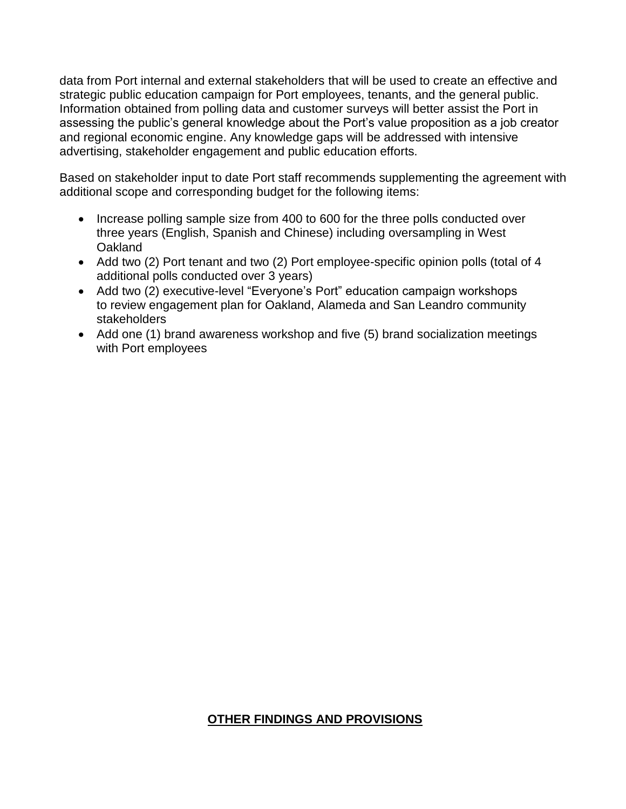data from Port internal and external stakeholders that will be used to create an effective and strategic public education campaign for Port employees, tenants, and the general public. Information obtained from polling data and customer surveys will better assist the Port in assessing the public's general knowledge about the Port's value proposition as a job creator and regional economic engine. Any knowledge gaps will be addressed with intensive advertising, stakeholder engagement and public education efforts.

Based on stakeholder input to date Port staff recommends supplementing the agreement with additional scope and corresponding budget for the following items:

- Increase polling sample size from 400 to 600 for the three polls conducted over three years (English, Spanish and Chinese) including oversampling in West **Oakland**
- Add two (2) Port tenant and two (2) Port employee-specific opinion polls (total of 4 additional polls conducted over 3 years)
- Add two (2) executive-level "Everyone's Port" education campaign workshops to review engagement plan for Oakland, Alameda and San Leandro community stakeholders
- Add one (1) brand awareness workshop and five (5) brand socialization meetings with Port employees

# **OTHER FINDINGS AND PROVISIONS**